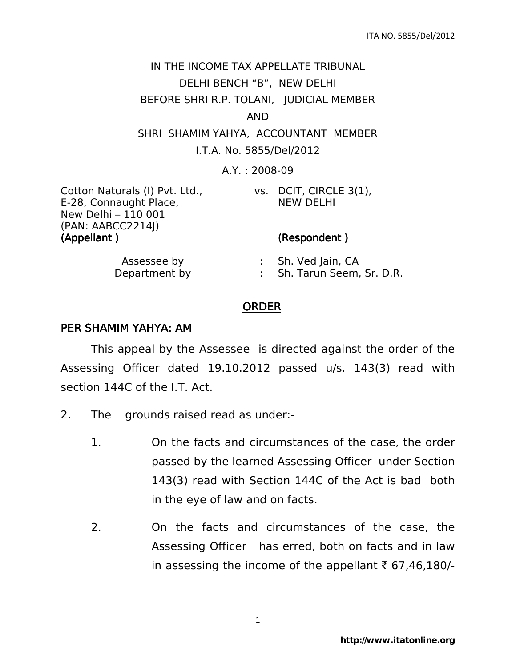# IN THE INCOME TAX APPELLATE TRIBUNAL DELHI BENCH "B", NEW DELHI BEFORE SHRI R.P. TOLANI, JUDICIAL MEMBER AND SHRI SHAMIM YAHYA, ACCOUNTANT MEMBER I.T.A. No. 5855/Del/2012

A.Y. : 2008-09

| (Appellant)                    | (Respondent)     |
|--------------------------------|------------------|
| (PAN: AABCC2214J)              |                  |
| New Delhi – 110 001            |                  |
| E-28, Connaught Place,         | <b>NEW DELHI</b> |
| Cotton Naturals (I) Pvt. Ltd., | vs. DCIT, CIRCLE |

### vs. DCIT, CIRCLE 3(1), NEW DELHI

| Assessee by   | Sh. Ved Jain, CA         |
|---------------|--------------------------|
| Department by | Sh. Tarun Seem, Sr. D.R. |

## ORDER

### PER SHAMIM YAHYA: AM

 This appeal by the Assessee is directed against the order of the Assessing Officer dated 19.10.2012 passed u/s. 143(3) read with section 144C of the I.T. Act.

- 2. The grounds raised read as under:-
	- 1. On the facts and circumstances of the case, the order passed by the learned Assessing Officer under Section 143(3) read with Section 144C of the Act is bad both in the eye of law and on facts.
	- 2. On the facts and circumstances of the case, the Assessing Officer has erred, both on facts and in law in assessing the income of the appellant  $\bar{\tau}$  67,46,180/-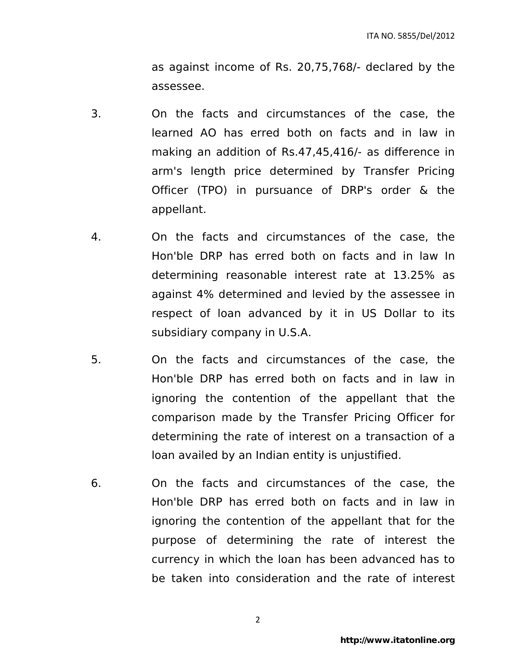as against income of Rs. 20,75,768/- declared by the assessee.

- 3. On the facts and circumstances of the case, the learned AO has erred both on facts and in law in making an addition of Rs.47,45,416/- as difference in arm's length price determined by Transfer Pricing Officer (TPO) in pursuance of DRP's order & the appellant.
- 4. On the facts and circumstances of the case, the Hon'ble DRP has erred both on facts and in law In determining reasonable interest rate at 13.25% as against 4% determined and levied by the assessee in respect of loan advanced by it in US Dollar to its subsidiary company in U.S.A.
- 5. On the facts and circumstances of the case, the Hon'ble DRP has erred both on facts and in law in ignoring the contention of the appellant that the comparison made by the Transfer Pricing Officer for determining the rate of interest on a transaction of a loan availed by an Indian entity is unjustified.
- 6. On the facts and circumstances of the case, the Hon'ble DRP has erred both on facts and in law in ignoring the contention of the appellant that for the purpose of determining the rate of interest the currency in which the loan has been advanced has to be taken into consideration and the rate of interest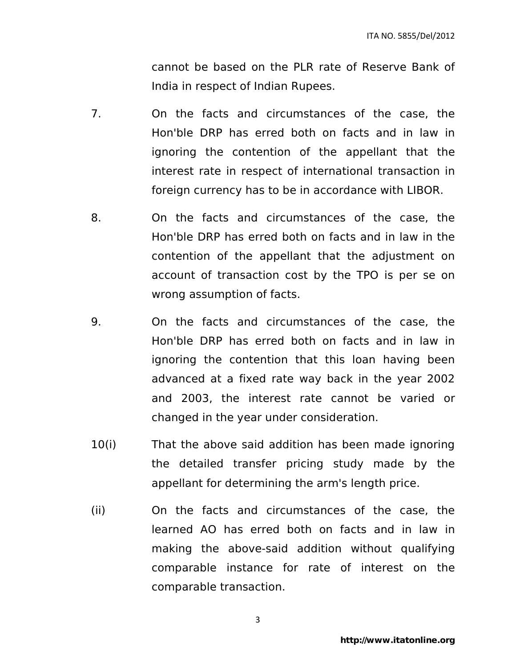cannot be based on the PLR rate of Reserve Bank of India in respect of Indian Rupees.

- 7. On the facts and circumstances of the case, the Hon'ble DRP has erred both on facts and in law in ignoring the contention of the appellant that the interest rate in respect of international transaction in foreign currency has to be in accordance with LIBOR.
- 8. On the facts and circumstances of the case, the Hon'ble DRP has erred both on facts and in law in the contention of the appellant that the adjustment on account of transaction cost by the TPO is per se on wrong assumption of facts.
- 9. On the facts and circumstances of the case, the Hon'ble DRP has erred both on facts and in law in ignoring the contention that this loan having been advanced at a fixed rate way back in the year 2002 and 2003, the interest rate cannot be varied or changed in the year under consideration.
- 10(i) That the above said addition has been made ignoring the detailed transfer pricing study made by the appellant for determining the arm's length price.
- (ii) On the facts and circumstances of the case, the learned AO has erred both on facts and in law in making the above-said addition without qualifying comparable instance for rate of interest on the comparable transaction.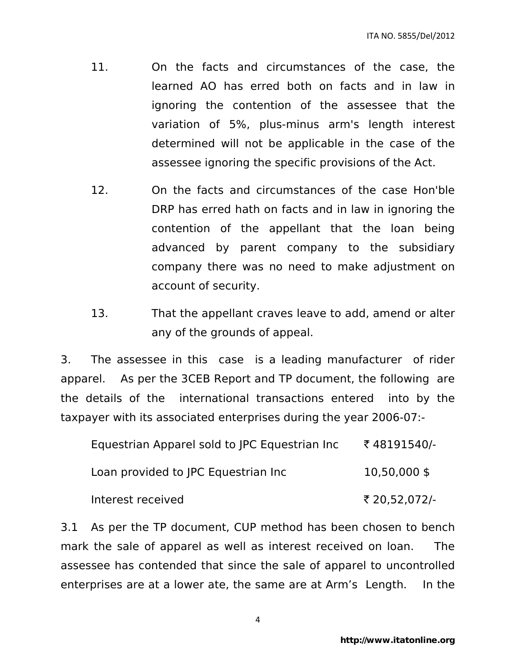- 11. On the facts and circumstances of the case, the learned AO has erred both on facts and in law in ignoring the contention of the assessee that the variation of 5%, plus-minus arm's length interest determined will not be applicable in the case of the assessee ignoring the specific provisions of the Act.
- 12. On the facts and circumstances of the case Hon'ble DRP has erred hath on facts and in law in ignoring the contention of the appellant that the loan being advanced by parent company to the subsidiary company there was no need to make adjustment on account of security.
- 13. That the appellant craves leave to add, amend or alter any of the grounds of appeal.

3. The assessee in this case is a leading manufacturer of rider apparel. As per the 3CEB Report and TP document, the following are the details of the international transactions entered into by the taxpayer with its associated enterprises during the year 2006-07:-

| Equestrian Apparel sold to JPC Equestrian Inc | ₹48191540/-    |
|-----------------------------------------------|----------------|
| Loan provided to JPC Equestrian Inc           | $10,50,000$ \$ |
| Interest received                             | ₹ 20,52,072/-  |

3.1 As per the TP document, CUP method has been chosen to bench mark the sale of apparel as well as interest received on loan. The assessee has contended that since the sale of apparel to uncontrolled enterprises are at a lower ate, the same are at Arm's Length. In the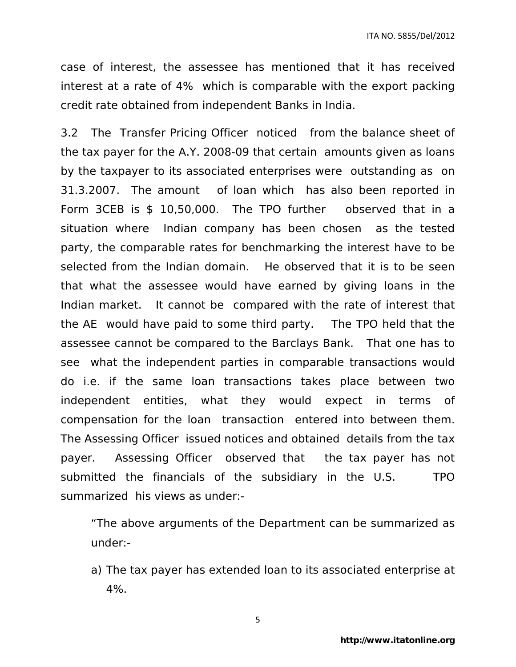case of interest, the assessee has mentioned that it has received interest at a rate of 4% which is comparable with the export packing credit rate obtained from independent Banks in India.

3.2 The Transfer Pricing Officer noticed from the balance sheet of the tax payer for the A.Y. 2008-09 that certain amounts given as loans by the taxpayer to its associated enterprises were outstanding as on 31.3.2007. The amount of loan which has also been reported in Form 3CEB is \$ 10,50,000. The TPO further observed that in a situation where Indian company has been chosen as the tested party, the comparable rates for benchmarking the interest have to be selected from the Indian domain. He observed that it is to be seen that what the assessee would have earned by giving loans in the Indian market. It cannot be compared with the rate of interest that the AE would have paid to some third party. The TPO held that the assessee cannot be compared to the Barclays Bank. That one has to see what the independent parties in comparable transactions would do i.e. if the same loan transactions takes place between two independent entities, what they would expect in terms of compensation for the loan transaction entered into between them. The Assessing Officer issued notices and obtained details from the tax payer. Assessing Officer observed that the tax payer has not submitted the financials of the subsidiary in the U.S. TPO summarized his views as under:-

"The above arguments of the Department can be summarized as under:-

a) The tax payer has extended loan to its associated enterprise at 4%.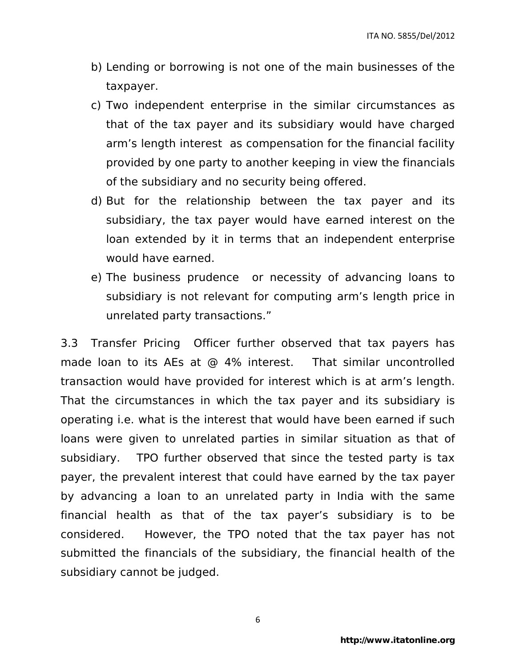- b) Lending or borrowing is not one of the main businesses of the taxpayer.
- c) Two independent enterprise in the similar circumstances as that of the tax payer and its subsidiary would have charged arm's length interest as compensation for the financial facility provided by one party to another keeping in view the financials of the subsidiary and no security being offered.
- d) But for the relationship between the tax payer and its subsidiary, the tax payer would have earned interest on the loan extended by it in terms that an independent enterprise would have earned.
- e) The business prudence or necessity of advancing loans to subsidiary is not relevant for computing arm's length price in unrelated party transactions."

3.3 Transfer Pricing Officer further observed that tax payers has made loan to its AEs at @ 4% interest. That similar uncontrolled transaction would have provided for interest which is at arm's length. That the circumstances in which the tax payer and its subsidiary is operating i.e. what is the interest that would have been earned if such loans were given to unrelated parties in similar situation as that of subsidiary. TPO further observed that since the tested party is tax payer, the prevalent interest that could have earned by the tax payer by advancing a loan to an unrelated party in India with the same financial health as that of the tax payer's subsidiary is to be considered. However, the TPO noted that the tax payer has not submitted the financials of the subsidiary, the financial health of the subsidiary cannot be judged.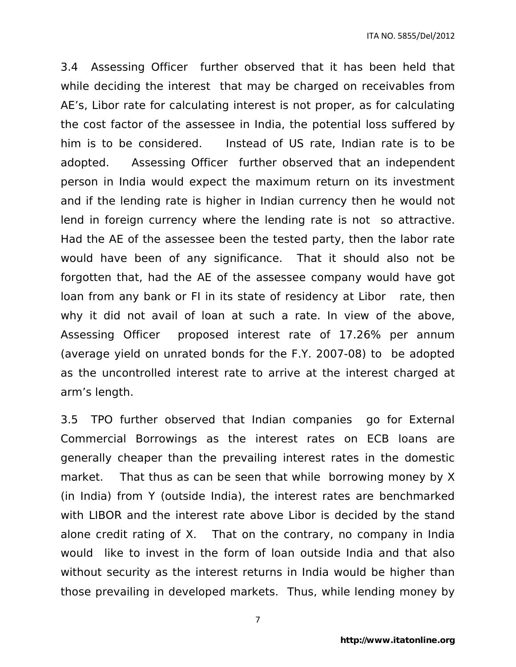3.4 Assessing Officer further observed that it has been held that while deciding the interest that may be charged on receivables from AE's, Libor rate for calculating interest is not proper, as for calculating the cost factor of the assessee in India, the potential loss suffered by him is to be considered. Instead of US rate, Indian rate is to be adopted. Assessing Officer further observed that an independent person in India would expect the maximum return on its investment and if the lending rate is higher in Indian currency then he would not lend in foreign currency where the lending rate is not so attractive. Had the AE of the assessee been the tested party, then the labor rate would have been of any significance. That it should also not be forgotten that, had the AE of the assessee company would have got loan from any bank or FI in its state of residency at Libor rate, then why it did not avail of loan at such a rate. In view of the above, Assessing Officer proposed interest rate of 17.26% per annum (average yield on unrated bonds for the F.Y. 2007-08) to be adopted as the uncontrolled interest rate to arrive at the interest charged at arm's length.

3.5 TPO further observed that Indian companies go for External Commercial Borrowings as the interest rates on ECB loans are generally cheaper than the prevailing interest rates in the domestic market. That thus as can be seen that while borrowing money by X (in India) from Y (outside India), the interest rates are benchmarked with LIBOR and the interest rate above Libor is decided by the stand alone credit rating of X. That on the contrary, no company in India would like to invest in the form of loan outside India and that also without security as the interest returns in India would be higher than those prevailing in developed markets. Thus, while lending money by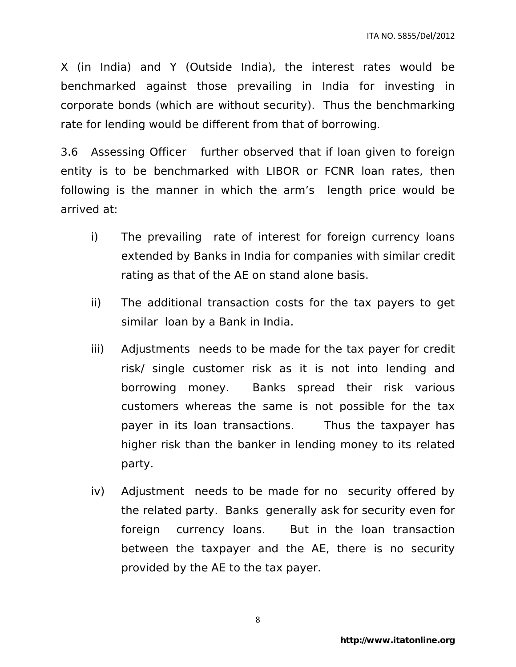X (in India) and Y (Outside India), the interest rates would be benchmarked against those prevailing in India for investing in corporate bonds (which are without security). Thus the benchmarking rate for lending would be different from that of borrowing.

3.6 Assessing Officer further observed that if loan given to foreign entity is to be benchmarked with LIBOR or FCNR loan rates, then following is the manner in which the arm's length price would be arrived at:

- i) The prevailing rate of interest for foreign currency loans extended by Banks in India for companies with similar credit rating as that of the AE on stand alone basis.
- ii) The additional transaction costs for the tax payers to get similar loan by a Bank in India.
- iii) Adjustments needs to be made for the tax payer for credit risk/ single customer risk as it is not into lending and borrowing money. Banks spread their risk various customers whereas the same is not possible for the tax payer in its loan transactions. Thus the taxpayer has higher risk than the banker in lending money to its related party.
- iv) Adjustment needs to be made for no security offered by the related party. Banks generally ask for security even for foreign currency loans. But in the loan transaction between the taxpayer and the AE, there is no security provided by the AE to the tax payer.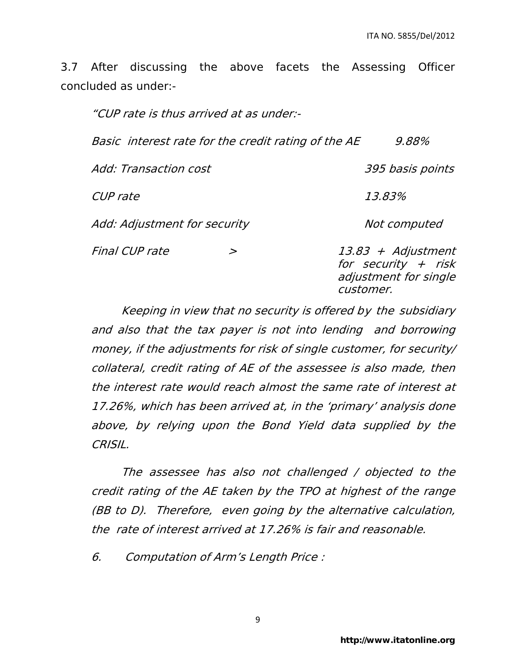3.7 After discussing the above facets the Assessing Officer concluded as under:-

| "CUP rate is thus arrived at as under:-             |   |                                                                                   |
|-----------------------------------------------------|---|-----------------------------------------------------------------------------------|
| Basic interest rate for the credit rating of the AE |   | 9.88%                                                                             |
| Add: Transaction cost                               |   | 395 basis points                                                                  |
| CUP rate                                            |   | 13.83%                                                                            |
| Add: Adjustment for security                        |   | Not computed                                                                      |
| Final CUP rate                                      | > | 13.83 + Adjustment<br>for security $+$ risk<br>adjustment for single<br>customer. |

Keeping in view that no security is offered by the subsidiary and also that the tax payer is not into lending and borrowing money, if the adjustments for risk of single customer, for security/ collateral, credit rating of AE of the assessee is also made, then the interest rate would reach almost the same rate of interest at 17.26%, which has been arrived at, in the 'primary' analysis done above, by relying upon the Bond Yield data supplied by the CRISIL.

The assessee has also not challenged / objected to the credit rating of the AE taken by the TPO at highest of the range (BB to D). Therefore, even going by the alternative calculation, the rate of interest arrived at 17.26% is fair and reasonable.

6. Computation of Arm's Length Price :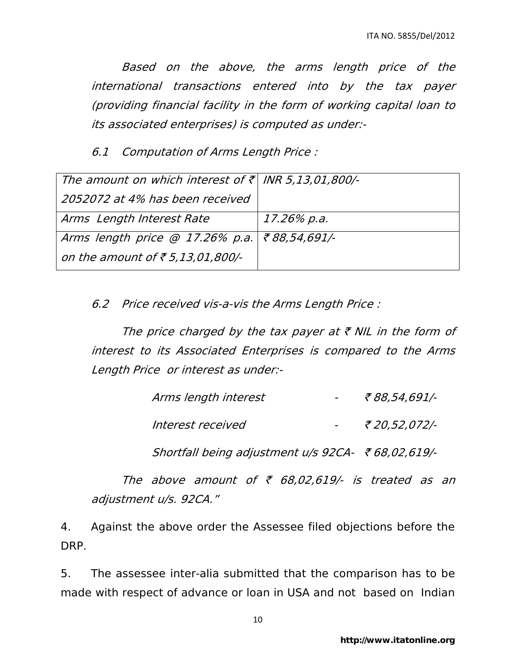Based on the above, the arms length price of the international transactions entered into by the tax payer (providing financial facility in the form of working capital loan to its associated enterprises) is computed as under:-

6.1 Computation of Arms Length Price :

| The amount on which interest of $\bar{\tau}$ INR 5,13,01,800/- |             |
|----------------------------------------------------------------|-------------|
| 2052072 at 4% has been received                                |             |
| Arms Length Interest Rate                                      | 17.26% p.a. |
| Arms length price @ 17.26% p.a. ₹88,54,691/-                   |             |
| on the amount of $\bar{\tau}$ 5,13,01,800/-                    |             |

6.2 Price received vis-a-vis the Arms Length Price :

The price charged by the tax payer at  $\bar{\tau}$  NIL in the form of interest to its Associated Enterprises is compared to the Arms Length Price or interest as under:-

| Arms length interest | ₹ 88,54,691/- |
|----------------------|---------------|
| Interest received    | ₹ 20,52,072/- |

Shortfall being adjustment  $u/s$  92CA-  $\bar{\tau}$  68,02,619/-

The above amount of  $\bar{\tau}$  68,02,619/- is treated as an adjustment u/s. 92CA."

4. Against the above order the Assessee filed objections before the DRP.

5. The assessee inter-alia submitted that the comparison has to be made with respect of advance or loan in USA and not based on Indian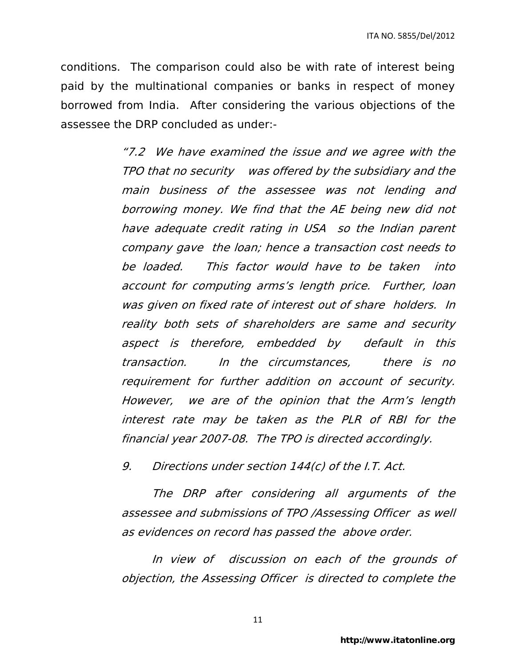conditions. The comparison could also be with rate of interest being paid by the multinational companies or banks in respect of money borrowed from India. After considering the various objections of the assessee the DRP concluded as under:-

> "7.2 We have examined the issue and we agree with the TPO that no security was offered by the subsidiary and the main business of the assessee was not lending and borrowing money. We find that the AE being new did not have adequate credit rating in USA so the Indian parent company gave the loan; hence a transaction cost needs to be loaded. This factor would have to be taken into account for computing arms's length price. Further, loan was given on fixed rate of interest out of share holders. In reality both sets of shareholders are same and security aspect is therefore, embedded by default in this transaction. In the circumstances, there is no requirement for further addition on account of security. However, we are of the opinion that the Arm's length interest rate may be taken as the PLR of RBI for the financial year 2007-08. The TPO is directed accordingly.

9. Directions under section 144(c) of the I.T. Act.

 The DRP after considering all arguments of the assessee and submissions of TPO /Assessing Officer as well as evidences on record has passed the above order.

 In view of discussion on each of the grounds of objection, the Assessing Officer is directed to complete the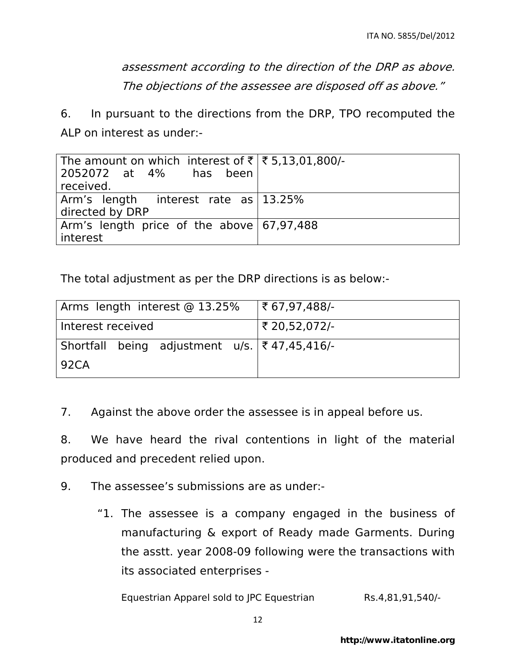assessment according to the direction of the DRP as above. The objections of the assessee are disposed off as above."

6. In pursuant to the directions from the DRP, TPO recomputed the ALP on interest as under:-

| The amount on which interest of ₹ $\xi$ 5,13,01,800/-<br>2052072 at 4% has been<br>received. |  |
|----------------------------------------------------------------------------------------------|--|
| Arm's length interest rate as 13.25%<br>directed by DRP                                      |  |
| Arm's length price of the above 67,97,488<br>  interest                                      |  |

The total adjustment as per the DRP directions is as below:-

| Arms length interest @ 13.25%                             | $ \xi$ 67,97,488/- |
|-----------------------------------------------------------|--------------------|
| Interest received                                         | ₹ 20,52,072/-      |
| Shortfall being adjustment u/s. $ \bar{\xi} $ 47,45,416/- |                    |
| 92CA                                                      |                    |

7. Against the above order the assessee is in appeal before us.

8. We have heard the rival contentions in light of the material produced and precedent relied upon.

9. The assessee's submissions are as under:-

"1. The assessee is a company engaged in the business of manufacturing & export of Ready made Garments. During the asstt. year 2008-09 following were the transactions with its associated enterprises -

Equestrian Apparel sold to JPC Equestrian Rs.4,81,91,540/-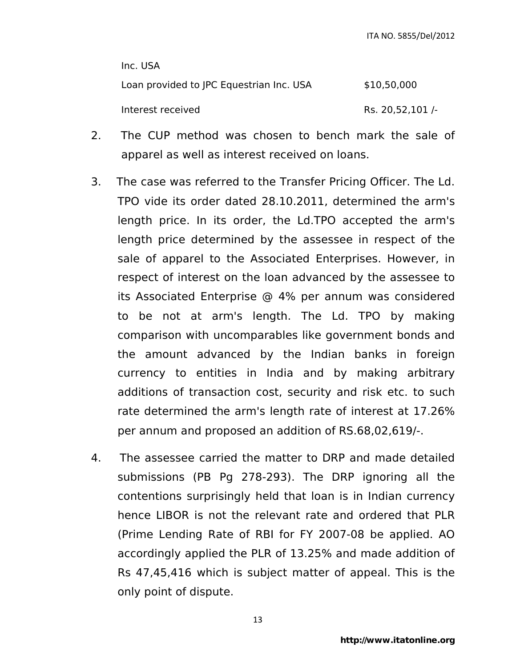Inc. USA Loan provided to JPC Equestrian Inc. USA \$10,50,000 Interest received and Rs. 20,52,101 /-

- 2. The CUP method was chosen to bench mark the sale of apparel as well as interest received on loans.
- 3. The case was referred to the Transfer Pricing Officer. The Ld. TPO vide its order dated 28.10.2011, determined the arm's length price. In its order, the Ld.TPO accepted the arm's length price determined by the assessee in respect of the sale of apparel to the Associated Enterprises. However, in respect of interest on the loan advanced by the assessee to its Associated Enterprise @ 4% per annum was considered to be not at arm's length. The Ld. TPO by making comparison with uncomparables like government bonds and the amount advanced by the Indian banks in foreign currency to entities in India and by making arbitrary additions of transaction cost, security and risk etc. to such rate determined the arm's length rate of interest at 17.26% per annum and proposed an addition of RS.68,02,619/-.
- 4. The assessee carried the matter to DRP and made detailed submissions (PB Pg 278-293). The DRP ignoring all the contentions surprisingly held that loan is in Indian currency hence LIBOR is not the relevant rate and ordered that PLR (Prime Lending Rate of RBI for FY 2007-08 be applied. AO accordingly applied the PLR of 13.25% and made addition of Rs 47,45,416 which is subject matter of appeal. This is the only point of dispute.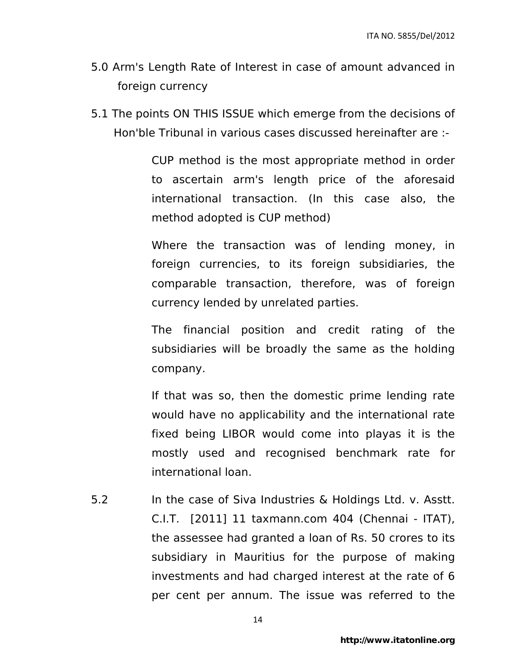- 5.0 Arm's Length Rate of Interest in case of amount advanced in foreign currency
- 5.1 The points ON THIS ISSUE which emerge from the decisions of Hon'ble Tribunal in various cases discussed hereinafter are :-

CUP method is the most appropriate method in order to ascertain arm's length price of the aforesaid international transaction. (In this case also, the method adopted is CUP method)

Where the transaction was of lending money, in foreign currencies, to its foreign subsidiaries, the comparable transaction, therefore, was of foreign currency lended by unrelated parties.

The financial position and credit rating of the subsidiaries will be broadly the same as the holding company.

If that was so, then the domestic prime lending rate would have no applicability and the international rate fixed being LIBOR would come into playas it is the mostly used and recognised benchmark rate for international loan.

5.2 In the case of Siva Industries & Holdings Ltd. v. Asstt. C.I.T. [2011] 11 taxmann.com 404 (Chennai - ITAT), the assessee had granted a loan of Rs. 50 crores to its subsidiary in Mauritius for the purpose of making investments and had charged interest at the rate of 6 per cent per annum. The issue was referred to the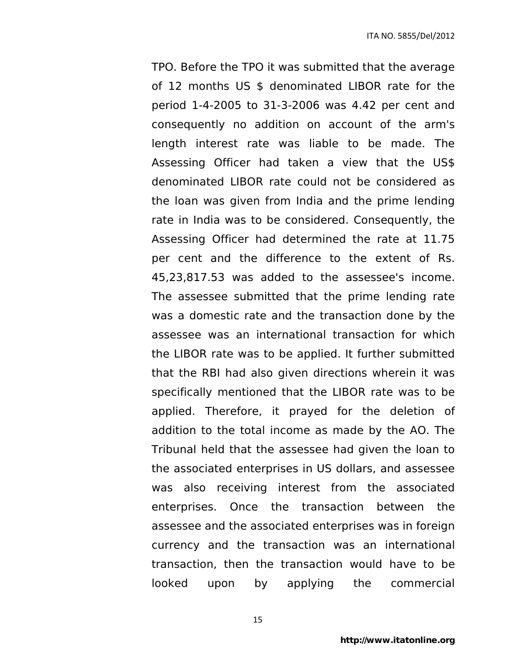TPO. Before the TPO it was submitted that the average of 12 months US \$ denominated LIBOR rate for the period 1-4-2005 to 31-3-2006 was 4.42 per cent and consequently no addition on account of the arm's length interest rate was liable to be made. The Assessing Officer had taken a view that the US\$ denominated LIBOR rate could not be considered as the loan was given from India and the prime lending rate in India was to be considered. Consequently, the Assessing Officer had determined the rate at 11.75 per cent and the difference to the extent of Rs. 45,23,817.53 was added to the assessee's income. The assessee submitted that the prime lending rate was a domestic rate and the transaction done by the assessee was an international transaction for which the LIBOR rate was to be applied. It further submitted that the RBI had also given directions wherein it was specifically mentioned that the LIBOR rate was to be applied. Therefore, it prayed for the deletion of addition to the total income as made by the AO. The Tribunal held that the assessee had given the loan to the associated enterprises in US dollars, and assessee was also receiving interest from the associated enterprises. Once the transaction between the assessee and the associated enterprises was in foreign currency and the transaction was an international transaction, then the transaction would have to be looked upon by applying the commercial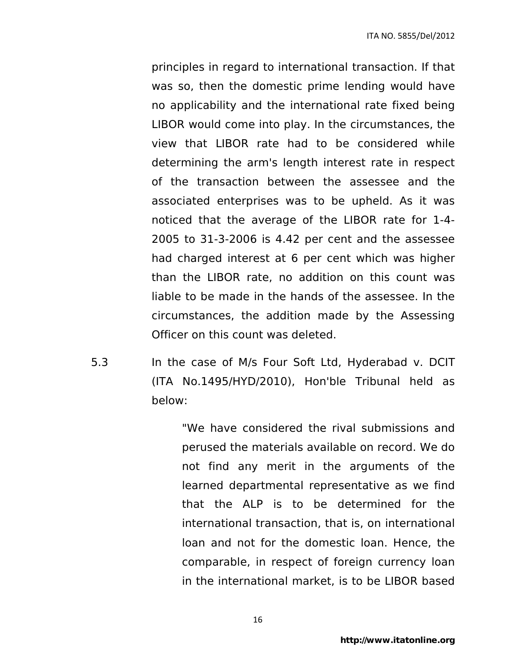principles in regard to international transaction. If that was so, then the domestic prime lending would have no applicability and the international rate fixed being LIBOR would come into play. In the circumstances, the view that LIBOR rate had to be considered while determining the arm's length interest rate in respect of the transaction between the assessee and the associated enterprises was to be upheld. As it was noticed that the average of the LIBOR rate for 1-4- 2005 to 31-3-2006 is 4.42 per cent and the assessee had charged interest at 6 per cent which was higher than the LIBOR rate, no addition on this count was liable to be made in the hands of the assessee. In the circumstances, the addition made by the Assessing Officer on this count was deleted.

5.3 In the case of M/s Four Soft Ltd, Hyderabad v. DCIT (ITA No.1495/HYD/2010), Hon'ble Tribunal held as below:

> "We have considered the rival submissions and perused the materials available on record. We do not find any merit in the arguments of the learned departmental representative as we find that the ALP is to be determined for the international transaction, that is, on international loan and not for the domestic loan. Hence, the comparable, in respect of foreign currency loan in the international market, is to be LIBOR based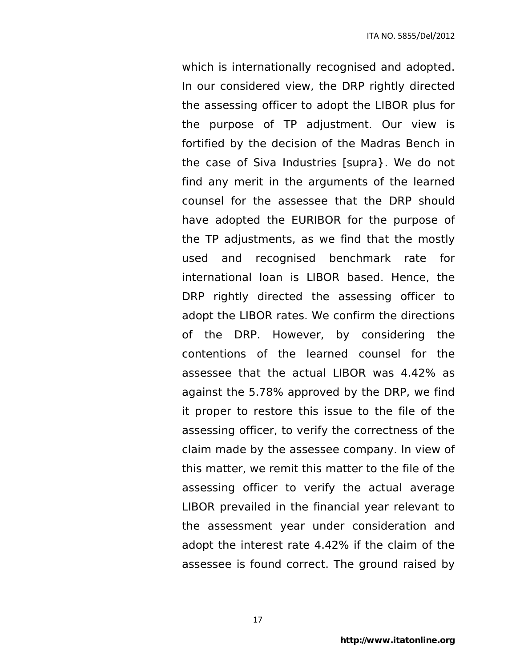which is internationally recognised and adopted. In our considered view, the DRP rightly directed the assessing officer to adopt the LIBOR plus for the purpose of TP adjustment. Our view is fortified by the decision of the Madras Bench in the case of Siva Industries [supra}. We do not find any merit in the arguments of the learned counsel for the assessee that the DRP should have adopted the EURIBOR for the purpose of the TP adjustments, as we find that the mostly used and recognised benchmark rate for international loan is LIBOR based. Hence, the DRP rightly directed the assessing officer to adopt the LIBOR rates. We confirm the directions of the DRP. However, by considering the contentions of the learned counsel for the assessee that the actual LIBOR was 4.42% as against the 5.78% approved by the DRP, we find it proper to restore this issue to the file of the assessing officer, to verify the correctness of the claim made by the assessee company. In view of this matter, we remit this matter to the file of the assessing officer to verify the actual average LIBOR prevailed in the financial year relevant to the assessment year under consideration and adopt the interest rate 4.42% if the claim of the assessee is found correct. The ground raised by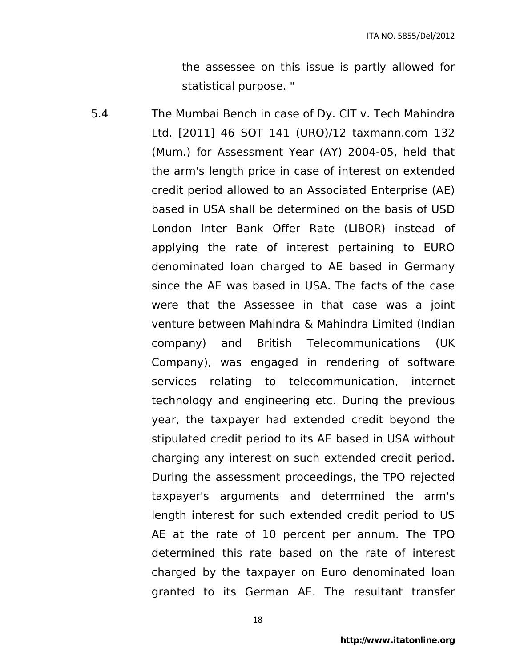the assessee on this issue is partly allowed for statistical purpose. "

5.4 The Mumbai Bench in case of Dy. ClT v. Tech Mahindra Ltd. [2011] 46 SOT 141 (URO)/12 taxmann.com 132 (Mum.) for Assessment Year (AY) 2004-05, held that the arm's length price in case of interest on extended credit period allowed to an Associated Enterprise (AE) based in USA shall be determined on the basis of USD London Inter Bank Offer Rate (LIBOR) instead of applying the rate of interest pertaining to EURO denominated loan charged to AE based in Germany since the AE was based in USA. The facts of the case were that the Assessee in that case was a joint venture between Mahindra & Mahindra Limited (Indian company) and British Telecommunications (UK Company), was engaged in rendering of software services relating to telecommunication, internet technology and engineering etc. During the previous year, the taxpayer had extended credit beyond the stipulated credit period to its AE based in USA without charging any interest on such extended credit period. During the assessment proceedings, the TPO rejected taxpayer's arguments and determined the arm's length interest for such extended credit period to US AE at the rate of 10 percent per annum. The TPO determined this rate based on the rate of interest charged by the taxpayer on Euro denominated loan granted to its German AE. The resultant transfer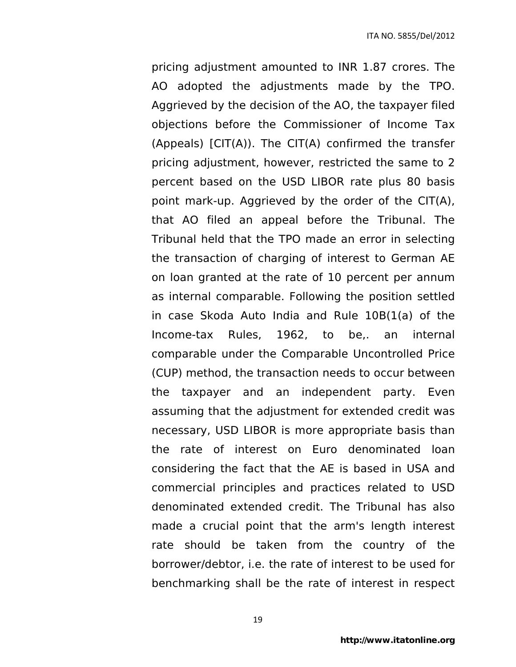pricing adjustment amounted to INR 1.87 crores. The AO adopted the adjustments made by the TPO. Aggrieved by the decision of the AO, the taxpayer filed objections before the Commissioner of Income Tax (Appeals)  $[CIT(A)]$ . The  $CIT(A)$  confirmed the transfer pricing adjustment, however, restricted the same to 2 percent based on the USD LIBOR rate plus 80 basis point mark-up. Aggrieved by the order of the CIT(A), that AO filed an appeal before the Tribunal. The Tribunal held that the TPO made an error in selecting the transaction of charging of interest to German AE on loan granted at the rate of 10 percent per annum as internal comparable. Following the position settled in case Skoda Auto India and Rule 10B(1(a) of the Income-tax Rules, 1962, to be,. an internal comparable under the Comparable Uncontrolled Price (CUP) method, the transaction needs to occur between the taxpayer and an independent party. Even assuming that the adjustment for extended credit was necessary, USD LIBOR is more appropriate basis than the rate of interest on Euro denominated loan considering the fact that the AE is based in USA and commercial principles and practices related to USD denominated extended credit. The Tribunal has also made a crucial point that the arm's length interest rate should be taken from the country of the borrower/debtor, i.e. the rate of interest to be used for benchmarking shall be the rate of interest in respect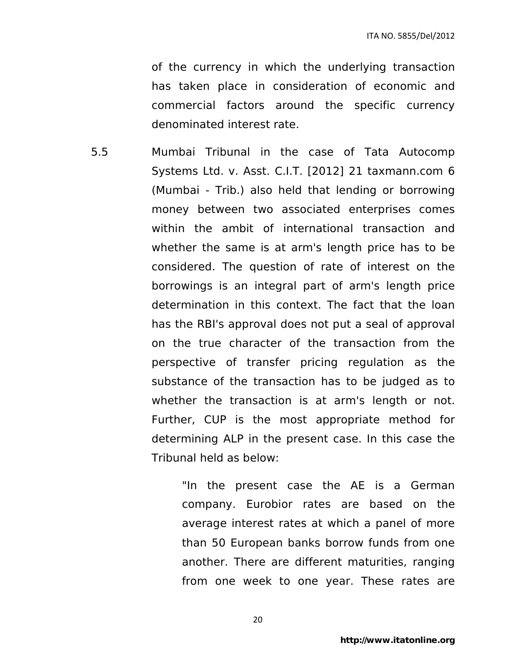of the currency in which the underlying transaction has taken place in consideration of economic and commercial factors around the specific currency denominated interest rate.

5.5 Mumbai Tribunal in the case of Tata Autocomp Systems Ltd. v. Asst. C.I.T. [2012] 21 taxmann.com 6 (Mumbai - Trib.) also held that lending or borrowing money between two associated enterprises comes within the ambit of international transaction and whether the same is at arm's length price has to be considered. The question of rate of interest on the borrowings is an integral part of arm's length price determination in this context. The fact that the loan has the RBI's approval does not put a seal of approval on the true character of the transaction from the perspective of transfer pricing regulation as the substance of the transaction has to be judged as to whether the transaction is at arm's length or not. Further, CUP is the most appropriate method for determining ALP in the present case. In this case the Tribunal held as below:

> "In the present case the AE is a German company. Eurobior rates are based on the average interest rates at which a panel of more than 50 European banks borrow funds from one another. There are different maturities, ranging from one week to one year. These rates are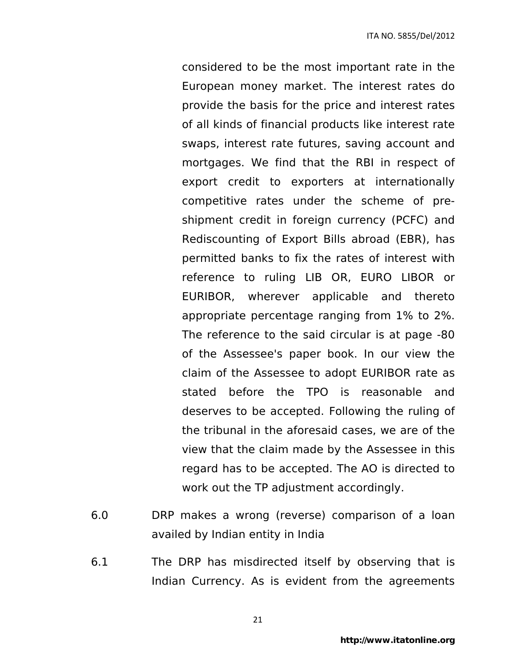considered to be the most important rate in the European money market. The interest rates do provide the basis for the price and interest rates of all kinds of financial products like interest rate swaps, interest rate futures, saving account and mortgages. We find that the RBI in respect of export credit to exporters at internationally competitive rates under the scheme of preshipment credit in foreign currency (PCFC) and Rediscounting of Export Bills abroad (EBR), has permitted banks to fix the rates of interest with reference to ruling LIB OR, EURO LIBOR or EURIBOR, wherever applicable and thereto appropriate percentage ranging from 1% to 2%. The reference to the said circular is at page -80 of the Assessee's paper book. In our view the claim of the Assessee to adopt EURIBOR rate as stated before the TPO is reasonable and deserves to be accepted. Following the ruling of the tribunal in the aforesaid cases, we are of the view that the claim made by the Assessee in this regard has to be accepted. The AO is directed to work out the TP adjustment accordingly.

- 6.0 DRP makes a wrong (reverse) comparison of a loan availed by Indian entity in India
- 6.1 The DRP has misdirected itself by observing that is Indian Currency. As is evident from the agreements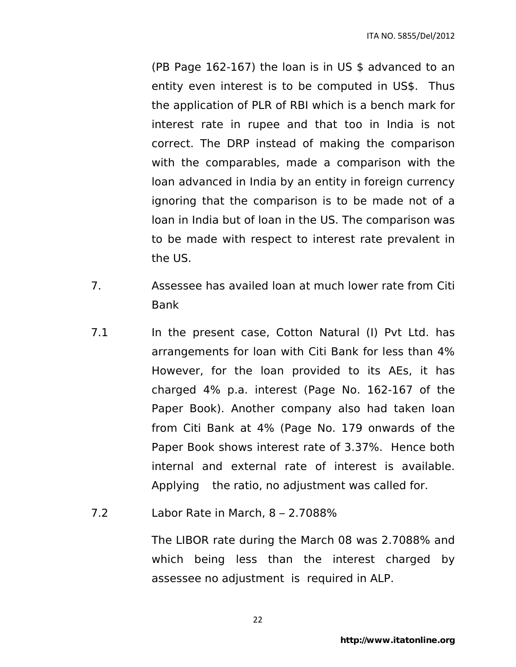(PB Page 162-167) the loan is in US \$ advanced to an entity even interest is to be computed in US\$. Thus the application of PLR of RBI which is a bench mark for interest rate in rupee and that too in India is not correct. The DRP instead of making the comparison with the comparables, made a comparison with the loan advanced in India by an entity in foreign currency ignoring that the comparison is to be made not of a loan in India but of loan in the US. The comparison was to be made with respect to interest rate prevalent in the US.

- 7. Assessee has availed loan at much lower rate from Citi Bank
- 7.1 In the present case, Cotton Natural (I) Pvt Ltd. has arrangements for loan with Citi Bank for less than 4% However, for the loan provided to its AEs, it has charged 4% p.a. interest (Page No. 162-167 of the Paper Book). Another company also had taken loan from Citi Bank at 4% (Page No. 179 onwards of the Paper Book shows interest rate of 3.37%. Hence both internal and external rate of interest is available. Applying the ratio, no adjustment was called for.
- 7.2 Labor Rate in March, 8 2.7088%

The LIBOR rate during the March 08 was 2.7088% and which being less than the interest charged by assessee no adjustment is required in ALP.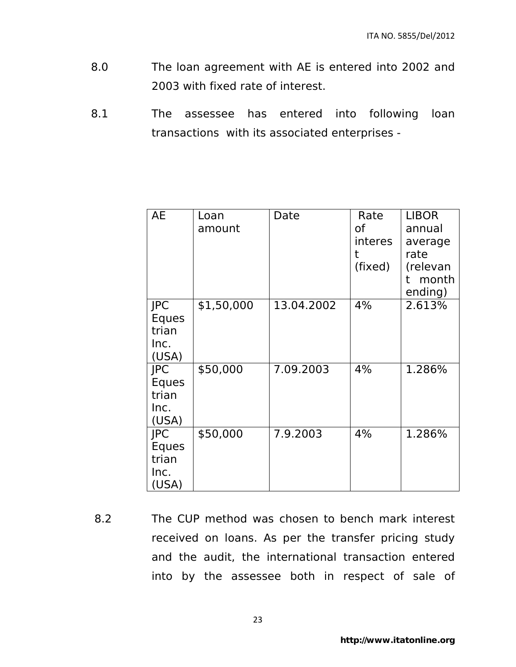- 8.0 The loan agreement with AE is entered into 2002 and 2003 with fixed rate of interest.
- 8.1 The assessee has entered into following loan transactions with its associated enterprises -

| AE                                            | Loan<br>amount | Date       | Rate<br>of<br>interes<br>t<br>(fixed) | <b>LIBOR</b><br>annual<br>average<br>rate<br>(relevan<br>month<br>t<br>ending) |
|-----------------------------------------------|----------------|------------|---------------------------------------|--------------------------------------------------------------------------------|
| <b>JPC</b><br>Eques<br>trian<br>Inc.<br>(USA) | \$1,50,000     | 13.04.2002 | 4%                                    | 2.613%                                                                         |
| <b>JPC</b><br>Eques<br>trian<br>Inc.<br>(USA) | \$50,000       | 7.09.2003  | 4%                                    | 1.286%                                                                         |
| <b>JPC</b><br>Eques<br>trian<br>Inc.<br>(USA) | \$50,000       | 7.9.2003   | 4%                                    | 1.286%                                                                         |

 8.2 The CUP method was chosen to bench mark interest received on loans. As per the transfer pricing study and the audit, the international transaction entered into by the assessee both in respect of sale of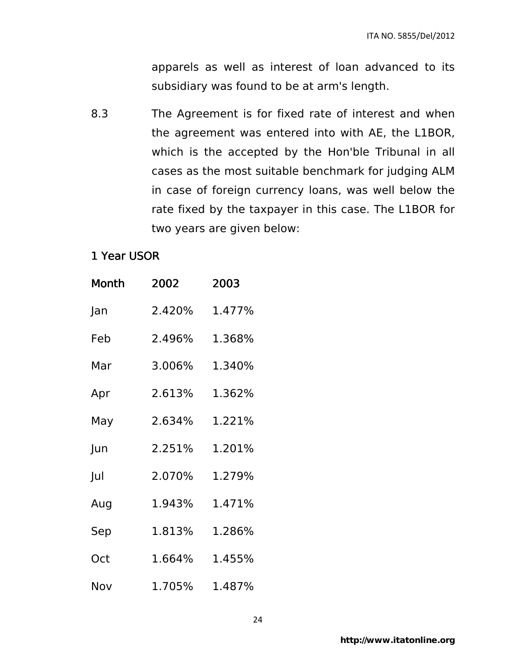apparels as well as interest of loan advanced to its subsidiary was found to be at arm's length.

8.3 The Agreement is for fixed rate of interest and when the agreement was entered into with AE, the L1BOR, which is the accepted by the Hon'ble Tribunal in all cases as the most suitable benchmark for judging ALM in case of foreign currency loans, was well below the rate fixed by the taxpayer in this case. The L1BOR for two years are given below:

## 1 Year USOR

| Month | 2002   | 2003   |
|-------|--------|--------|
| Jan   | 2.420% | 1.477% |
| Feb   | 2.496% | 1.368% |
| Mar   | 3.006% | 1.340% |
| Apr   | 2.613% | 1.362% |
| May   | 2.634% | 1.221% |
| Jun   | 2.251% | 1.201% |
| Jul   | 2.070% | 1.279% |
| Aug   | 1.943% | 1.471% |
| Sep   | 1.813% | 1.286% |
| Oct   | 1.664% | 1.455% |
| Nov   | 1.705% | 1.487% |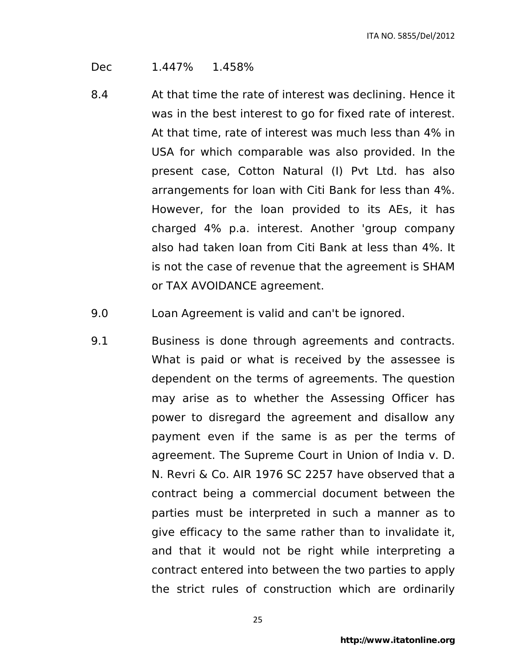Dec 1.447% 1.458%

- 8.4 At that time the rate of interest was declining. Hence it was in the best interest to go for fixed rate of interest. At that time, rate of interest was much less than 4% in USA for which comparable was also provided. In the present case, Cotton Natural (I) Pvt Ltd. has also arrangements for loan with Citi Bank for less than 4%. However, for the loan provided to its AEs, it has charged 4% p.a. interest. Another 'group company also had taken loan from Citi Bank at less than 4%. It is not the case of revenue that the agreement is SHAM or TAX AVOIDANCE agreement.
- 9.0 Loan Agreement is valid and can't be ignored.
- 9.1 Business is done through agreements and contracts. What is paid or what is received by the assessee is dependent on the terms of agreements. The question may arise as to whether the Assessing Officer has power to disregard the agreement and disallow any payment even if the same is as per the terms of agreement. The Supreme Court in Union of India v. D. N. Revri & Co. AIR 1976 SC 2257 have observed that a contract being a commercial document between the parties must be interpreted in such a manner as to give efficacy to the same rather than to invalidate it, and that it would not be right while interpreting a contract entered into between the two parties to apply the strict rules of construction which are ordinarily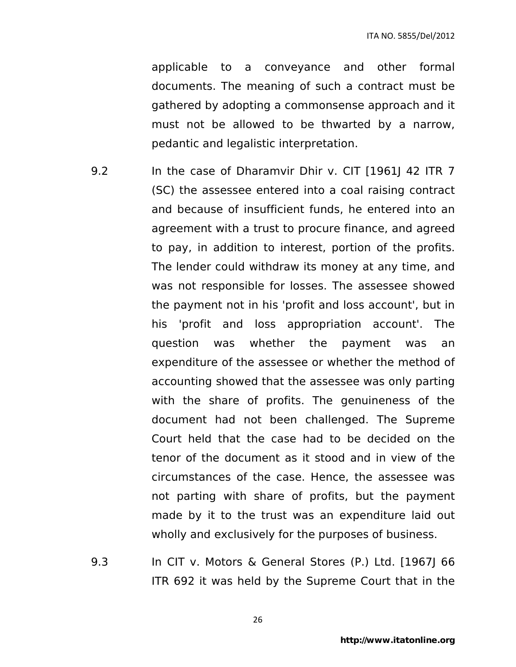applicable to a conveyance and other formal documents. The meaning of such a contract must be gathered by adopting a commonsense approach and it must not be allowed to be thwarted by a narrow, pedantic and legalistic interpretation.

- 9.2 In the case of Dharamvir Dhir v. CIT [1961] 42 ITR 7 (SC) the assessee entered into a coal raising contract and because of insufficient funds, he entered into an agreement with a trust to procure finance, and agreed to pay, in addition to interest, portion of the profits. The lender could withdraw its money at any time, and was not responsible for losses. The assessee showed the payment not in his 'profit and loss account', but in his 'profit and loss appropriation account'. The question was whether the payment was an expenditure of the assessee or whether the method of accounting showed that the assessee was only parting with the share of profits. The genuineness of the document had not been challenged. The Supreme Court held that the case had to be decided on the tenor of the document as it stood and in view of the circumstances of the case. Hence, the assessee was not parting with share of profits, but the payment made by it to the trust was an expenditure laid out wholly and exclusively for the purposes of business.
- 9.3 In CIT v. Motors & General Stores (P.) Ltd. [1967J 66 ITR 692 it was held by the Supreme Court that in the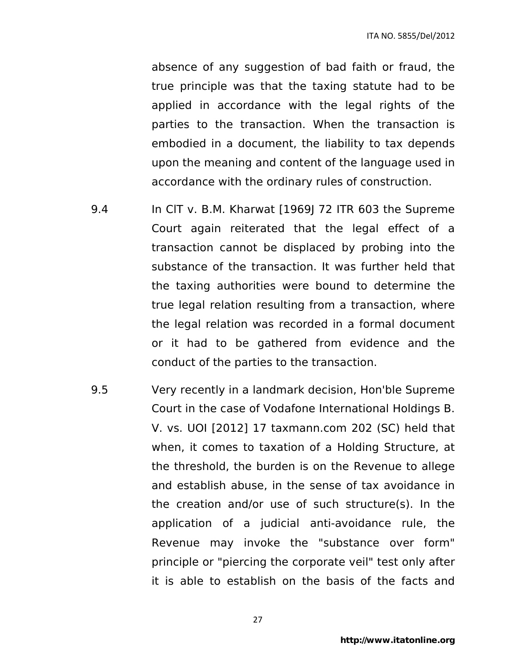absence of any suggestion of bad faith or fraud, the true principle was that the taxing statute had to be applied in accordance with the legal rights of the parties to the transaction. When the transaction is embodied in a document, the liability to tax depends upon the meaning and content of the language used in accordance with the ordinary rules of construction.

- 9.4 In CIT v. B.M. Kharwat [1969] 72 ITR 603 the Supreme Court again reiterated that the legal effect of a transaction cannot be displaced by probing into the substance of the transaction. It was further held that the taxing authorities were bound to determine the true legal relation resulting from a transaction, where the legal relation was recorded in a formal document or it had to be gathered from evidence and the conduct of the parties to the transaction.
- 9.5 Very recently in a landmark decision, Hon'ble Supreme Court in the case of Vodafone International Holdings B. V. vs. UOI [2012] 17 taxmann.com 202 (SC) held that when, it comes to taxation of a Holding Structure, at the threshold, the burden is on the Revenue to allege and establish abuse, in the sense of tax avoidance in the creation and/or use of such structure(s). In the application of a judicial anti-avoidance rule, the Revenue may invoke the "substance over form" principle or "piercing the corporate veil" test only after it is able to establish on the basis of the facts and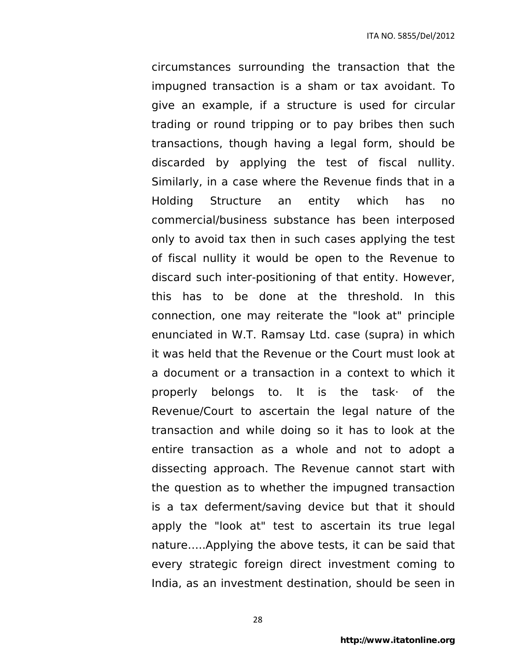circumstances surrounding the transaction that the impugned transaction is a sham or tax avoidant. To give an example, if a structure is used for circular trading or round tripping or to pay bribes then such transactions, though having a legal form, should be discarded by applying the test of fiscal nullity. Similarly, in a case where the Revenue finds that in a Holding Structure an entity which has no commercial/business substance has been interposed only to avoid tax then in such cases applying the test of fiscal nullity it would be open to the Revenue to discard such inter-positioning of that entity. However, this has to be done at the threshold. In this connection, one may reiterate the "look at" principle enunciated in W.T. Ramsay Ltd. case (supra) in which it was held that the Revenue or the Court must look at a document or a transaction in a context to which it properly belongs to. It is the task· of the Revenue/Court to ascertain the legal nature of the transaction and while doing so it has to look at the entire transaction as a whole and not to adopt a dissecting approach. The Revenue cannot start with the question as to whether the impugned transaction is a tax deferment/saving device but that it should apply the "look at" test to ascertain its true legal nature…..Applying the above tests, it can be said that every strategic foreign direct investment coming to India, as an investment destination, should be seen in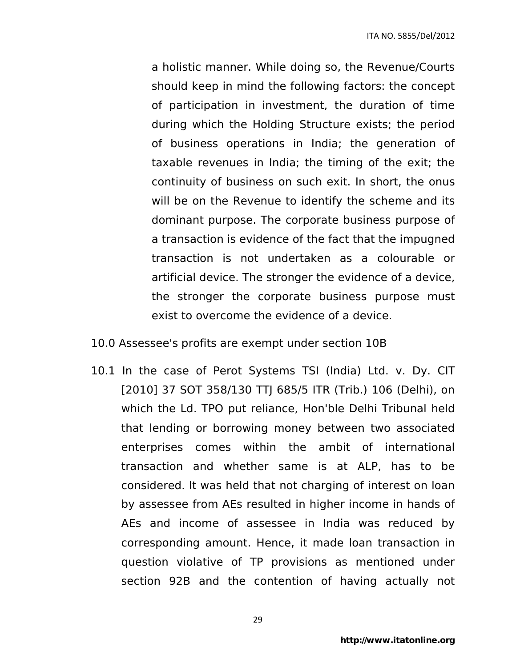a holistic manner. While doing so, the Revenue/Courts should keep in mind the following factors: the concept of participation in investment, the duration of time during which the Holding Structure exists; the period of business operations in India; the generation of taxable revenues in India; the timing of the exit; the continuity of business on such exit. In short, the onus will be on the Revenue to identify the scheme and its dominant purpose. The corporate business purpose of a transaction is evidence of the fact that the impugned transaction is not undertaken as a colourable or artificial device. The stronger the evidence of a device, the stronger the corporate business purpose must exist to overcome the evidence of a device.

#### 10.0 Assessee's profits are exempt under section 10B

10.1 In the case of Perot Systems TSI (India) Ltd. v. Dy. CIT [2010] 37 SOT 358/130 TTJ 685/5 ITR (Trib.) 106 (Delhi), on which the Ld. TPO put reliance, Hon'ble Delhi Tribunal held that lending or borrowing money between two associated enterprises comes within the ambit of international transaction and whether same is at ALP, has to be considered. It was held that not charging of interest on loan by assessee from AEs resulted in higher income in hands of AEs and income of assessee in India was reduced by corresponding amount. Hence, it made loan transaction in question violative of TP provisions as mentioned under section 92B and the contention of having actually not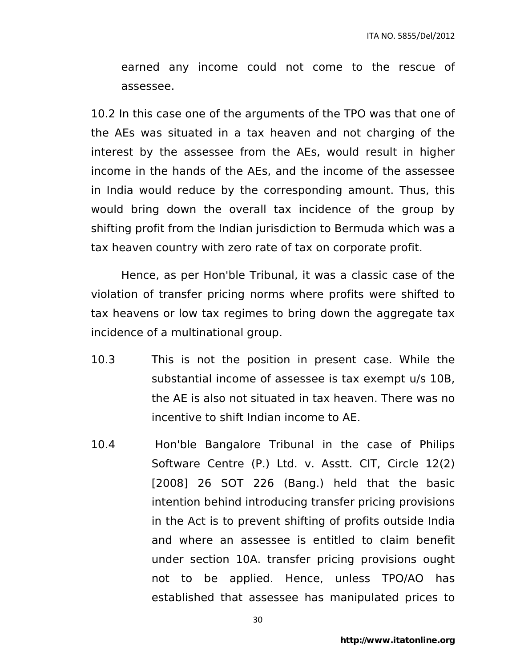earned any income could not come to the rescue of assessee.

10.2 In this case one of the arguments of the TPO was that one of the AEs was situated in a tax heaven and not charging of the interest by the assessee from the AEs, would result in higher income in the hands of the AEs, and the income of the assessee in India would reduce by the corresponding amount. Thus, this would bring down the overall tax incidence of the group by shifting profit from the Indian jurisdiction to Bermuda which was a tax heaven country with zero rate of tax on corporate profit.

Hence, as per Hon'ble Tribunal, it was a classic case of the violation of transfer pricing norms where profits were shifted to tax heavens or low tax regimes to bring down the aggregate tax incidence of a multinational group.

- 10.3 This is not the position in present case. While the substantial income of assessee is tax exempt u/s 10B, the AE is also not situated in tax heaven. There was no incentive to shift Indian income to AE.
- 10.4 Hon'ble Bangalore Tribunal in the case of Philips Software Centre (P.) Ltd. v. Asstt. CIT, Circle 12(2) [2008] 26 SOT 226 (Bang.) held that the basic intention behind introducing transfer pricing provisions in the Act is to prevent shifting of profits outside India and where an assessee is entitled to claim benefit under section 10A. transfer pricing provisions ought not to be applied. Hence, unless TPO/AO has established that assessee has manipulated prices to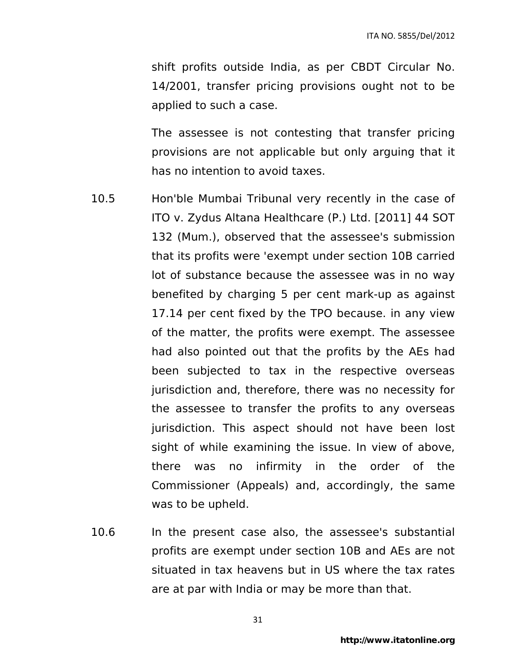shift profits outside India, as per CBDT Circular No. 14/2001, transfer pricing provisions ought not to be applied to such a case.

The assessee is not contesting that transfer pricing provisions are not applicable but only arguing that it has no intention to avoid taxes.

- 10.5 Hon'ble Mumbai Tribunal very recently in the case of ITO v. Zydus Altana Healthcare (P.) Ltd. [2011] 44 SOT 132 (Mum.), observed that the assessee's submission that its profits were 'exempt under section 10B carried lot of substance because the assessee was in no way benefited by charging 5 per cent mark-up as against 17.14 per cent fixed by the TPO because. in any view of the matter, the profits were exempt. The assessee had also pointed out that the profits by the AEs had been subjected to tax in the respective overseas jurisdiction and, therefore, there was no necessity for the assessee to transfer the profits to any overseas jurisdiction. This aspect should not have been lost sight of while examining the issue. In view of above, there was no infirmity in the order of the Commissioner (Appeals) and, accordingly, the same was to be upheld.
- 10.6 In the present case also, the assessee's substantial profits are exempt under section 10B and AEs are not situated in tax heavens but in US where the tax rates are at par with India or may be more than that.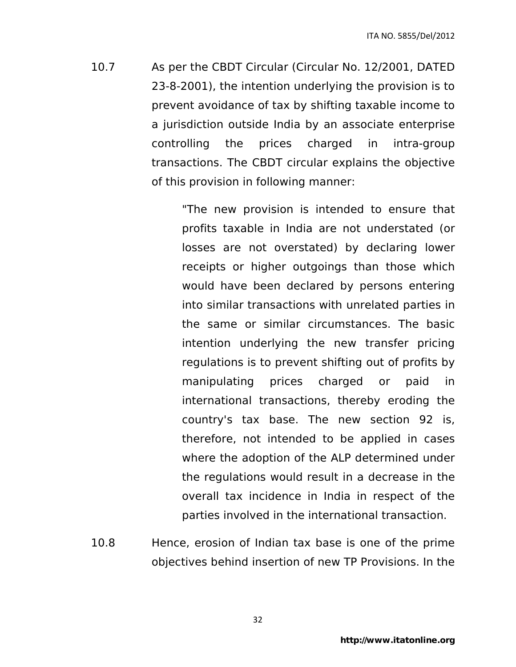10.7 As per the CBDT Circular (Circular No. 12/2001, DATED 23-8-2001), the intention underlying the provision is to prevent avoidance of tax by shifting taxable income to a jurisdiction outside India by an associate enterprise controlling the prices charged in intra-group transactions. The CBDT circular explains the objective of this provision in following manner:

> "The new provision is intended to ensure that profits taxable in India are not understated (or losses are not overstated) by declaring lower receipts or higher outgoings than those which would have been declared by persons entering into similar transactions with unrelated parties in the same or similar circumstances. The basic intention underlying the new transfer pricing regulations is to prevent shifting out of profits by manipulating prices charged or paid in international transactions, thereby eroding the country's tax base. The new section 92 is, therefore, not intended to be applied in cases where the adoption of the ALP determined under the regulations would result in a decrease in the overall tax incidence in India in respect of the parties involved in the international transaction.

10.8 Hence, erosion of Indian tax base is one of the prime objectives behind insertion of new TP Provisions. In the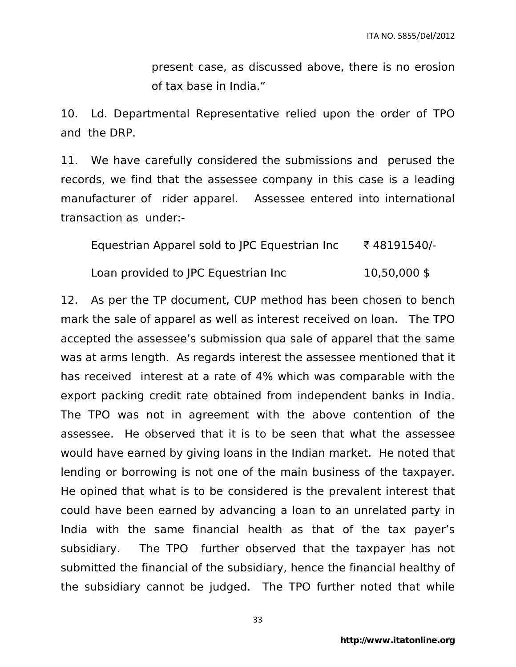present case, as discussed above, there is no erosion of tax base in India."

10. Ld. Departmental Representative relied upon the order of TPO and the DRP.

11. We have carefully considered the submissions and perused the records, we find that the assessee company in this case is a leading manufacturer of rider apparel. Assessee entered into international transaction as under:-

| Equestrian Apparel sold to JPC Equestrian Inc | ₹48191540/-    |
|-----------------------------------------------|----------------|
| Loan provided to JPC Equestrian Inc           | $10,50,000$ \$ |

12. As per the TP document, CUP method has been chosen to bench mark the sale of apparel as well as interest received on loan. The TPO accepted the assessee's submission qua sale of apparel that the same was at arms length. As regards interest the assessee mentioned that it has received interest at a rate of 4% which was comparable with the export packing credit rate obtained from independent banks in India. The TPO was not in agreement with the above contention of the assessee. He observed that it is to be seen that what the assessee would have earned by giving loans in the Indian market. He noted that lending or borrowing is not one of the main business of the taxpayer. He opined that what is to be considered is the prevalent interest that could have been earned by advancing a loan to an unrelated party in India with the same financial health as that of the tax payer's subsidiary. The TPO further observed that the taxpayer has not submitted the financial of the subsidiary, hence the financial healthy of the subsidiary cannot be judged. The TPO further noted that while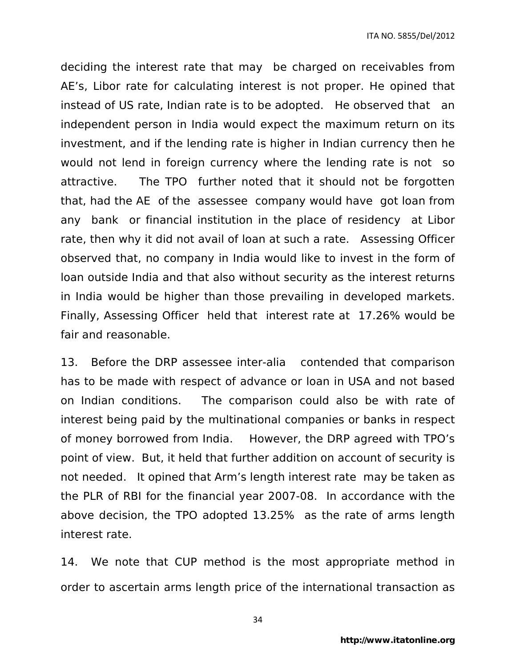deciding the interest rate that may be charged on receivables from AE's, Libor rate for calculating interest is not proper. He opined that instead of US rate, Indian rate is to be adopted. He observed that an independent person in India would expect the maximum return on its investment, and if the lending rate is higher in Indian currency then he would not lend in foreign currency where the lending rate is not so attractive. The TPO further noted that it should not be forgotten that, had the AE of the assessee company would have got loan from any bank or financial institution in the place of residency at Libor rate, then why it did not avail of loan at such a rate. Assessing Officer observed that, no company in India would like to invest in the form of loan outside India and that also without security as the interest returns in India would be higher than those prevailing in developed markets. Finally, Assessing Officer held that interest rate at 17.26% would be fair and reasonable.

13. Before the DRP assessee inter-alia contended that comparison has to be made with respect of advance or loan in USA and not based on Indian conditions. The comparison could also be with rate of interest being paid by the multinational companies or banks in respect of money borrowed from India. However, the DRP agreed with TPO's point of view. But, it held that further addition on account of security is not needed. It opined that Arm's length interest rate may be taken as the PLR of RBI for the financial year 2007-08. In accordance with the above decision, the TPO adopted 13.25% as the rate of arms length interest rate.

14. We note that CUP method is the most appropriate method in order to ascertain arms length price of the international transaction as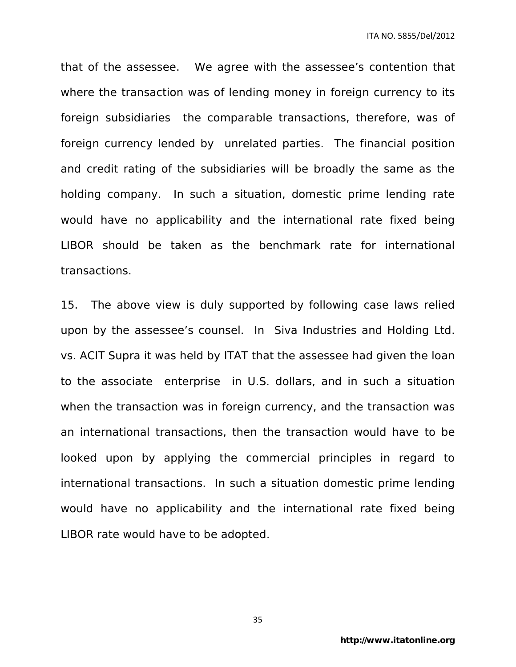that of the assessee. We agree with the assessee's contention that where the transaction was of lending money in foreign currency to its foreign subsidiaries the comparable transactions, therefore, was of foreign currency lended by unrelated parties. The financial position and credit rating of the subsidiaries will be broadly the same as the holding company. In such a situation, domestic prime lending rate would have no applicability and the international rate fixed being LIBOR should be taken as the benchmark rate for international transactions.

15. The above view is duly supported by following case laws relied upon by the assessee's counsel. In Siva Industries and Holding Ltd. vs. ACIT Supra it was held by ITAT that the assessee had given the loan to the associate enterprise in U.S. dollars, and in such a situation when the transaction was in foreign currency, and the transaction was an international transactions, then the transaction would have to be looked upon by applying the commercial principles in regard to international transactions. In such a situation domestic prime lending would have no applicability and the international rate fixed being LIBOR rate would have to be adopted.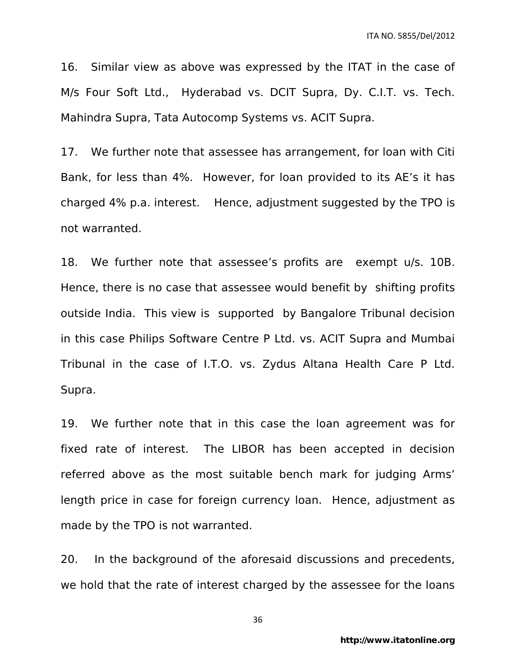16. Similar view as above was expressed by the ITAT in the case of M/s Four Soft Ltd., Hyderabad vs. DCIT Supra, Dy. C.I.T. vs. Tech. Mahindra Supra, Tata Autocomp Systems vs. ACIT Supra.

17. We further note that assessee has arrangement, for loan with Citi Bank, for less than 4%. However, for loan provided to its AE's it has charged 4% p.a. interest. Hence, adjustment suggested by the TPO is not warranted.

18. We further note that assessee's profits are exempt u/s. 10B. Hence, there is no case that assessee would benefit by shifting profits outside India. This view is supported by Bangalore Tribunal decision in this case Philips Software Centre P Ltd. vs. ACIT Supra and Mumbai Tribunal in the case of I.T.O. vs. Zydus Altana Health Care P Ltd. Supra.

19. We further note that in this case the loan agreement was for fixed rate of interest. The LIBOR has been accepted in decision referred above as the most suitable bench mark for judging Arms' length price in case for foreign currency loan. Hence, adjustment as made by the TPO is not warranted.

20. In the background of the aforesaid discussions and precedents, we hold that the rate of interest charged by the assessee for the loans